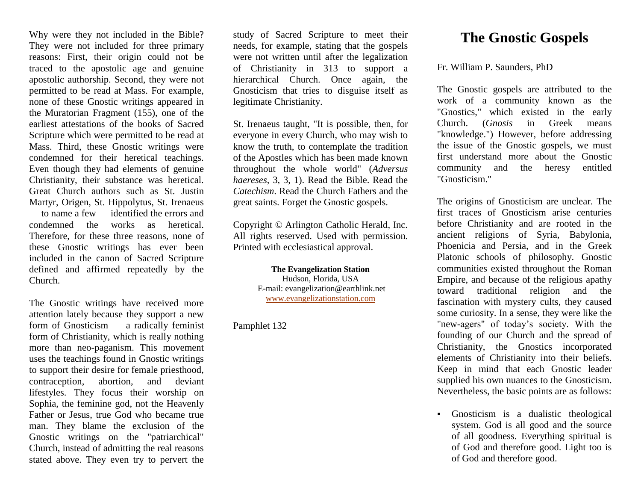Why were they not included in the Bible? They were not included for three primary reasons: First, their origin could not be traced to the apostolic age and genuine apostolic authorship. Second, they were not permitted to be read at Mass. For example, none of these Gnostic writings appeared in the Muratorian Fragment (155), one of the earliest attestations of the books of Sacred Scripture which were permitted to be read at Mass. Third, these Gnostic writings were condemned for their heretical teachings. Even though they had elements of genuine Christianity, their substance was heretical. Great Church authors such as St. Justin Martyr, Origen, St. Hippolytus, St. Irenaeus — to name a few — identified the errors and condemned the works as heretical. Therefore, for these three reasons, none of these Gnostic writings has ever been included in the canon of Sacred Scripture defined and affirmed repeatedly by the Church.

The Gnostic writings have received more attention lately because they support a new form of Gnosticism — a radically feminist form of Christianity, which is really nothing more than neo-paganism. This movement uses the teachings found in Gnostic writings to support their desire for female priesthood, contraception, abortion, and deviant lifestyles. They focus their worship on Sophia, the feminine god, not the Heavenly Father or Jesus, true God who became true man. They blame the exclusion of the Gnostic writings on the "patriarchical" Church, instead of admitting the real reasons stated above. They even try to pervert the

study of Sacred Scripture to meet their needs, for example, stating that the gospels were not written until after the legalization of Christianity in 313 to support a hierarchical Church. Once again, the Gnosticism that tries to disguise itself as legitimate Christianity.

St. Irenaeus taught, "It is possible, then, for everyone in every Church, who may wish to know the truth, to contemplate the tradition of the Apostles which has been made known throughout the whole world" (*Adversus haereses*, 3, 3, 1). Read the Bible. Read the *Catechism*. Read the Church Fathers and the great saints. Forget the Gnostic gospels.

Copyright © Arlington Catholic Herald, Inc. All rights reserved. Used with permission. Printed with ecclesiastical approval.

> **The Evangelization Station** Hudson, Florida, USA E-mail: evangelization@earthlink.net [www.evangelizationstation.com](http://www.pjpiisoe.org/)

Pamphlet 132

## **The Gnostic Gospels**

Fr. William P. Saunders, PhD

The Gnostic gospels are attributed to the work of a community known as the "Gnostics," which existed in the early Church. (*Gnosis* in Greek means "knowledge.") However, before addressing the issue of the Gnostic gospels, we must first understand more about the Gnostic community and the heresy entitled "Gnosticism."

The origins of Gnosticism are unclear. The first traces of Gnosticism arise centuries before Christianity and are rooted in the ancient religions of Syria, Babylonia, Phoenicia and Persia, and in the Greek Platonic schools of philosophy. Gnostic communities existed throughout the Roman Empire, and because of the religious apathy toward traditional religion and the fascination with mystery cults, they caused some curiosity. In a sense, they were like the "new-agers" of today's society. With the founding of our Church and the spread of Christianity, the Gnostics incorporated elements of Christianity into their beliefs. Keep in mind that each Gnostic leader supplied his own nuances to the Gnosticism. Nevertheless, the basic points are as follows:

 Gnosticism is a dualistic theological system. God is all good and the source of all goodness. Everything spiritual is of God and therefore good. Light too is of God and therefore good.